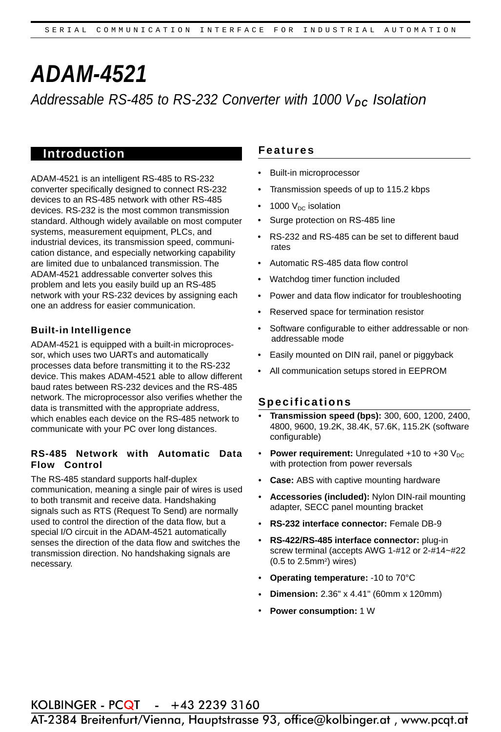# *ADAM-4521 Addressable RS-485 to RS-232 Converter with 1000 VDC Isolation*

# **Introduction Features**

ADAM-4521 is an intelligent RS-485 to RS-232 converter specifically designed to connect RS-232 devices to an RS-485 network with other RS-485 devices. RS-232 is the most common transmission standard. Although widely available on most computer systems, measurement equipment, PLCs, and industrial devices, its transmission speed, communication distance, and especially networking capability are limited due to unbalanced transmission. The ADAM-4521 addressable converter solves this problem and lets you easily build up an RS-485 network with your RS-232 devices by assigning each one an address for easier communication.

#### **Built-in Intelligence**

ADAM-4521 is equipped with a built-in microprocessor, which uses two UARTs and automatically processes data before transmitting it to the RS-232 device. This makes ADAM-4521 able to allow different baud rates between RS-232 devices and the RS-485 network. The microprocessor also verifies whether the data is transmitted with the appropriate address, which enables each device on the RS-485 network to communicate with your PC over long distances.

#### **RS-485 Network with Automatic Data Flow Control**

The RS-485 standard supports half-duplex communication, meaning a single pair of wires is used to both transmit and receive data. Handshaking signals such as RTS (Request To Send) are normally used to control the direction of the data flow, but a special I/O circuit in the ADAM-4521 automatically senses the direction of the data flow and switches the transmission direction. No handshaking signals are necessary.

- Built-in microprocessor
- Transmission speeds of up to 115.2 kbps
- 1000  $V_{DC}$  isolation
- Surge protection on RS-485 line
- RS-232 and RS-485 can be set to different baud rates
- Automatic RS-485 data flow control
- Watchdog timer function included
- Power and data flow indicator for troubleshooting
- Reserved space for termination resistor
- Software configurable to either addressable or nonaddressable mode
- Easily mounted on DIN rail, panel or piggyback
- All communication setups stored in EEPROM

#### **Specifications**

- **Transmission speed (bps):** 300, 600, 1200, 2400, 4800, 9600, 19.2K, 38.4K, 57.6K, 115.2K (software configurable)
- **Power requirement:** Unregulated +10 to +30 V<sub>DC</sub> with protection from power reversals •
- **Case:** ABS with captive mounting hardware •
- **Accessories (included):** Nylon DIN-rail mounting adapter, SECC panel mounting bracket •
- **RS-232 interface connector:** Female DB-9 •
- **RS-422/RS-485 interface connector:** plug-in screw terminal (accepts AWG 1-#12 or 2-#14~#22  $(0.5$  to  $2.5$ mm<sup>2</sup>) wires) •
- **Operating temperature:** -10 to 70°C •
- **Dimension:** 2.36" x 4.41" (60mm x 120mm) •
- **Power consumption:** 1 W •

**KOLBINGER - PCQT** - +43 2239 3160<br>AT-2384 Breitenfurt/Vienna, Hauptstrasse 93, office@kolbinger.at , www.pcqt.at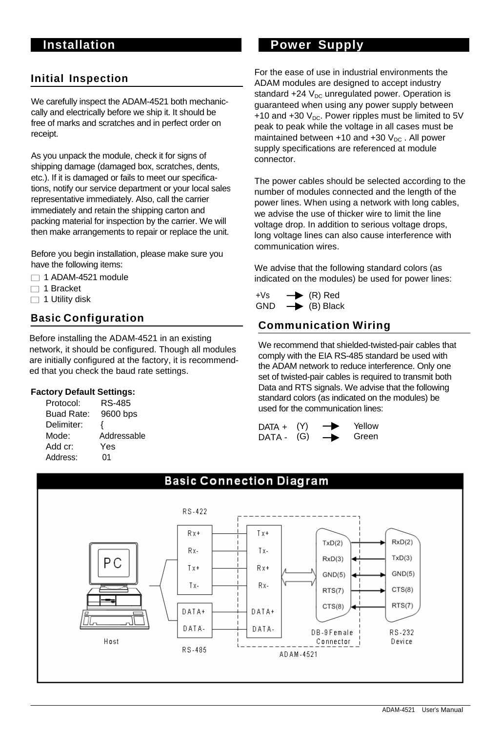# **Initial Inspection**

We carefully inspect the ADAM-4521 both mechaniccally and electrically before we ship it. It should be free of marks and scratches and in perfect order on receipt.

As you unpack the module, check it for signs of shipping damage (damaged box, scratches, dents, etc.). If it is damaged or fails to meet our specifications, notify our service department or your local sales representative immediately. Also, call the carrier immediately and retain the shipping carton and packing material for inspection by the carrier. We will then make arrangements to repair or replace the unit.

Before you begin installation, please make sure you have the following items:

- $\Box$  1 ADAM-4521 module
- $\Box$  1 Bracket
- 

# **Basic Configuration**

Before installing the ADAM-4521 in an existing network, it should be configured. Though all modules are initially configured at the factory, it is recommended that you check the baud rate settings.

#### **Factory Default Settings:**

| Protocol:  | RS-485      |
|------------|-------------|
| Buad Rate: | 9600 bps    |
| Delimiter: | ₹           |
| Mode:      | Addressable |
| Add cr:    | Yes         |
| Address:   | 01          |

# **Installation Communisty Power Supply**

For the ease of use in industrial environments the ADAM modules are designed to accept industry standard +24  $V_{DC}$  unregulated power. Operation is guaranteed when using any power supply between +10 and +30  $V_{DC}$ . Power ripples must be limited to 5V peak to peak while the voltage in all cases must be maintained between  $+10$  and  $+30$  V<sub>DC</sub>. All power supply specifications are referenced at module connector.

The power cables should be selected according to the number of modules connected and the length of the power lines. When using a network with long cables, we advise the use of thicker wire to limit the line voltage drop. In addition to serious voltage drops, long voltage lines can also cause interference with communication wires.

We advise that the following standard colors (as indicated on the modules) be used for power lines:

 $\Box$  1 Utility disk  $\Box$  1 Utility disk  $\Box$  1 Utility disk  $\Box$  1 Utility disk  $\Box$  1 Utility disk  $\Box$  $\rightarrow$  (B) Black

# **Communication Wiring**

We recommend that shielded-twisted-pair cables that comply with the EIA RS-485 standard be used with the ADAM network to reduce interference. Only one set of twisted-pair cables is required to transmit both Data and RTS signals. We advise that the following standard colors (as indicated on the modules) be used for the communication lines:

| $DATA +$ | (Y) | $\rightarrow$ | Yellow |
|----------|-----|---------------|--------|
| DATA -   | (G) | $\rightarrow$ | Green  |

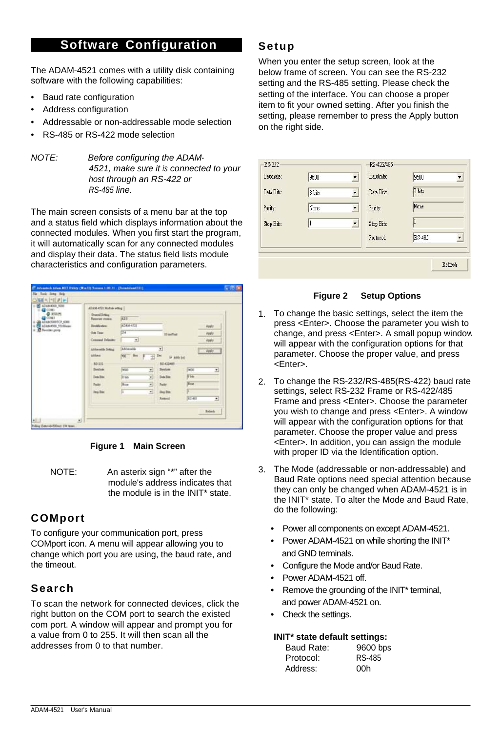# **Software Configuration**

The ADAM-4521 comes with a utility disk containing software with the following capabilities:

- Baud rate configuration
- Address configuration
- Addressable or non-addressable mode selection
- RS-485 or RS-422 mode selection
- *NOTE: Before configuring the ADAM-4521, make sure it is connected to your host through an RS-422 or RS-485 line.*

The main screen consists of a menu bar at the top and a status field which displays information about the connected modules. When you first start the program, it will automatically scan for any connected modules and display their data. The status field lists module characteristics and configuration parameters.

| CCM1                                                                                  | ADAM-4521 Mobile which I                   |                           |          |                                   |              |              |
|---------------------------------------------------------------------------------------|--------------------------------------------|---------------------------|----------|-----------------------------------|--------------|--------------|
| @ ktttien<br>COMT<br>ATAMSBOSCE 6000<br>ATAMASOO 51102mm<br><b>B.</b> Perceiber group | <b>Oracal School</b><br>Reported Interiors | <b>SOF</b>                |          |                                   |              |              |
|                                                                                       | <b>Identification</b>                      | <b>ADAM ATTI</b>          |          |                                   |              | <b>Apply</b> |
|                                                                                       | <b>Geo Teac</b>                            | $\overline{\mathbb{R}^4}$ |          | 10 melled                         |              | Apply        |
|                                                                                       | Connect Drinker                            | Ξ                         |          |                                   |              | Apply        |
|                                                                                       | Addressed to New York                      | Abbassille                |          | 픠                                 |              | Apply        |
|                                                                                       | Aldrea                                     | $90 -$ But                | Del<br>괴 | <b>Walkee</b>                     |              |              |
|                                                                                       | apox:<br><b>Distant</b>                    | Will                      |          | <b>AS-KIDWIT</b><br><b>Deston</b> | <b>Twist</b> |              |
|                                                                                       |                                            |                           | 회        |                                   |              | 킈            |
|                                                                                       | Data State                                 | IF <sub>30</sub>          | ⊒        | <b>Date Bay</b>                   | <b>N</b> Ver |              |
|                                                                                       | <b>Builty</b>                              | <b>Blow</b>               | ≖        | <b>Facty</b>                      | New          |              |
|                                                                                       | Day Bar                                    | 百                         | ⊡        | Day Day                           |              |              |
|                                                                                       |                                            |                           |          |                                   | 2.241        |              |

#### **Figure 1 Main Screen**

NOTE: An asterix sign "\*" after the module's address indicates that the module is in the INIT\* state.

# **COMport**

To configure your communication port, press COMport icon. A menu will appear allowing you to change which port you are using, the baud rate, and the timeout.

# **Search**

To scan the network for connected devices, click the right button on the COM port to search the existed com port. A window will appear and prompt you for a value from 0 to 255. It will then scan all the addresses from 0 to that number.

### **Setup**

When you enter the setup screen, look at the below frame of screen. You can see the RS-232 setting and the RS-485 setting. Please check the setting of the interface. You can choose a proper item to fit your owned setting. After you finish the setting, please remember to press the Apply button on the right side.

| RS-232     |        |                          | RS-422/485 |                                    |
|------------|--------|--------------------------|------------|------------------------------------|
| Baudrate:  | 9600   | $\overline{\phantom{a}}$ | Baudrate:  | 9600<br>$\overline{\phantom{a}}$   |
| Data Bits: | 8 bits | $\overline{\phantom{a}}$ | Data Bits: | 8 bits                             |
| Parity:    | None   | $\overline{\phantom{a}}$ | Parity:    | None                               |
| Stop Bits: | 1      | Y                        | Stop Bits: |                                    |
|            |        |                          | Protocol:  | RS-485<br>$\overline{\phantom{a}}$ |



- 1. To change the basic settings, select the item the press <Enter>. Choose the parameter you wish to change, and press <Enter>. A small popup window will appear with the configuration options for that parameter. Choose the proper value, and press <Enter>.
- To change the RS-232/RS-485(RS-422) baud rate 2. settings, select RS-232 Frame or RS-422/485 Frame and press <Enter>. Choose the parameter you wish to change and press <Enter>. A window will appear with the configuration options for that parameter. Choose the proper value and press <Enter>. In addition, you can assign the module with proper ID via the Identification option.
- The Mode (addressable or non-addressable) and 3. Baud Rate options need special attention because they can only be changed when ADAM-4521 is in the INIT\* state. To alter the Mode and Baud Rate, do the following:
	- **•** Power all components on except ADAM-4521.
	- **•** Power ADAM-4521 on while shorting the INIT\* and GND terminals.
	- Configure the Mode and/or Baud Rate.
	- **•** Power ADAM-4521 off.
	- **•** Remove the grounding of the INIT\* terminal, and power ADAM-4521 on.
	- **•** Check the settings.

#### **INIT\* state default settings:**

| Baud Rate: | 9600 bps |
|------------|----------|
| Protocol:  | RS-485   |
| Address:   | 00h      |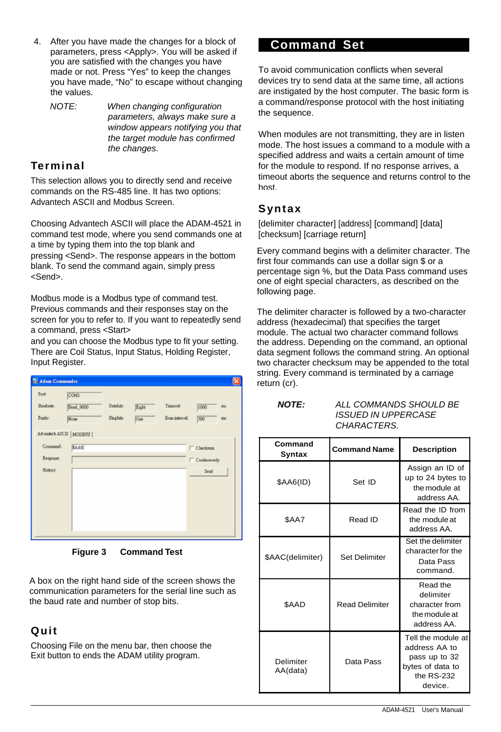- After you have made the changes for a block of 4. parameters, press <Apply>. You will be asked if you are satisfied with the changes you have made or not. Press "Yes" to keep the changes you have made, "No" to escape without changing the values.
	- *NOTE: When changing configuration parameters, always make sure a window appears notifying you that the target module has confirmed the changes.*

# **Terminal**

This selection allows you to directly send and receive commands on the RS-485 line. It has two options: Advantech ASCII and Modbus Screen.

Choosing Advantech ASCII will place the ADAM-4521 in command test mode, where you send commands one at a time by typing them into the top blank and pressing <Send>. The response appears in the bottom blank. To send the command again, simply press <Send>.

Modbus mode is a Modbus type of command test. Previous commands and their responses stay on the screen for you to refer to. If you want to repeatedly send a command, press <Start>

and you can choose the Modbus type to fit your setting. There are Coil Status, Input Status, Holding Register, Input Register.

| Adam Commander |                          |           |       |                |                     | × |
|----------------|--------------------------|-----------|-------|----------------|---------------------|---|
| Port           | COMI                     |           |       |                |                     |   |
| Bandzate:      | Bend 9600                | Datsbitt: | Eight | Timeout        | 1000<br>me          |   |
| Peaky:         | None                     | Stopbits: | One   | Sona interval: | 500<br>ma           |   |
|                | Advantech ASCII   MODBUS |           |       |                |                     |   |
| Congrand:      | <b>SAA6</b>              |           |       |                | Checkrom            |   |
| Response:      |                          |           |       |                | <b>Continuously</b> |   |
| History.       |                          |           |       |                | Send                |   |
|                |                          |           |       |                |                     |   |
|                |                          |           |       |                |                     |   |
|                |                          |           |       |                |                     |   |
|                |                          |           |       |                |                     |   |
|                |                          |           |       |                |                     |   |

**Figure 3 Command Test** 

A box on the right hand side of the screen shows the communication parameters for the serial line such as the baud rate and number of stop bits.

# **Quit**

Choosing File on the menu bar, then choose the Exit button to ends the ADAM utility program.

# **Command Set**

To avoid communication conflicts when several devices try to send data at the same time, all actions are instigated by the host computer. The basic form is a command/response protocol with the host initiating the sequence.

When modules are not transmitting, they are in listen mode. The host issues a command to a module with a specified address and waits a certain amount of time for the module to respond. If no response arrives, a timeout aborts the sequence and returns control to the host.

# **Syntax**

[delimiter character] [address] [command] [data] [checksum] [carriage return]

Every command begins with a delimiter character. The first four commands can use a dollar sign \$ or a percentage sign %, but the Data Pass command uses one of eight special characters, as described on the following page.

The delimiter character is followed by a two-character address (hexadecimal) that specifies the target module. The actual two character command follows the address. Depending on the command, an optional data segment follows the command string. An optional two character checksum may be appended to the total string. Every command is terminated by a carriage return (cr).

*NOTE: ALL COMMANDS SHOULD BE ISSUED IN UPPERCASE CHARACTERS.* 

| Command<br>Syntax     | <b>Command Name</b>   | <b>Description</b>                                                                                |
|-----------------------|-----------------------|---------------------------------------------------------------------------------------------------|
| $$AA6(ID)$            | Set ID                | Assign an ID of<br>up to 24 bytes to<br>the module at<br>address AA.                              |
| \$AA7                 | Read ID               | Read the ID from<br>the module at<br>address AA.                                                  |
| \$AAC(delimiter)      | <b>Set Delimiter</b>  | Set the delimiter<br>character for the<br>Data Pass<br>command.                                   |
| <b>SAAD</b>           | <b>Read Delimiter</b> | Read the<br>delimiter<br>character from<br>the module at<br>address AA.                           |
| Delimiter<br>AA(data) | Data Pass             | Tell the module at<br>address AA to<br>pass up to 32<br>bytes of data to<br>the RS-232<br>device. |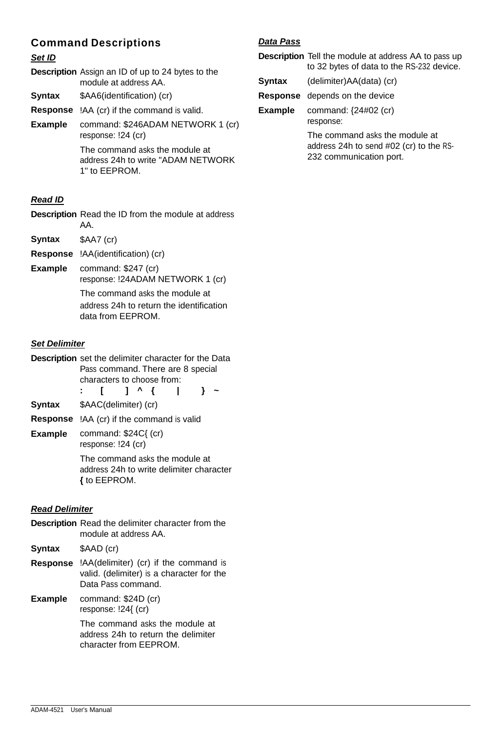# **Command Descriptions**

#### *Set ID*

|                | <b>Description</b> Assign an ID of up to 24 bytes to the<br>module at address AA.     |
|----------------|---------------------------------------------------------------------------------------|
| Syntax         | \$AA6(identification) (cr)                                                            |
| Response       | !AA (cr) if the command is valid.                                                     |
| <b>Example</b> | command: \$246ADAM NETWORK 1 (cr)<br>response: !24 (cr)                               |
|                | The command asks the module at<br>address 24h to write "ADAM NETWORK<br>1" to EEPROM. |

### *Read ID*

**Description** Read the ID from the module at address AA.

**Syntax** \$AA7 (cr)

**Response** !AA(identification) (cr)

**Example** command: \$247 (cr) response: !24ADAM NETWORK 1 (cr)

> The command asks the module at address 24h to return the identification data from EEPROM.

#### *Set Delimiter*

**Description** set the delimiter character for the Data Pass command. There are 8 special characters to choose from:

**: [ ] ^ { | } ~**

- **Syntax** \$AAC(delimiter) (cr)
- **Response** !AA (cr) if the command is valid
- **Example** command: \$24C{ (cr) response: !24 (cr)

The command asks the module at address 24h to write delimiter character **{** to EEPROM.

#### *Read Delimiter*

- **Description** Read the delimiter character from the module at address AA. **Syntax** \$AAD (cr)
- **Response** !AA(delimiter) (cr) if the command is valid. (delimiter) is a character for the Data Pass command.
- command: \$24D (cr) response: !24{ (cr) **Example**

The command asks the module at address 24h to return the delimiter character from EEPROM.

#### *Data Pass*

**Description** Tell the module at address AA to pass up to 32 bytes of data to the RS-232 device.

| Syntax  | (delimiter)AA(data) (cr)                                                  |
|---------|---------------------------------------------------------------------------|
|         | <b>Response</b> depends on the device                                     |
| Example | command: {24#02 (cr)<br>response:                                         |
|         | The command asks the module at<br>address 24h to send #02 (cr) to the RS- |

232 communication port.

ADAM-4521 User's Manual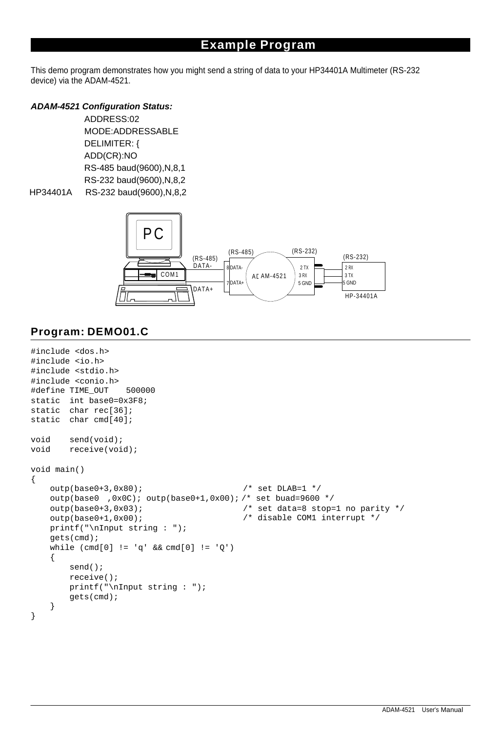# **Example Program**

This demo program demonstrates how you might send a string of data to your HP34401A Multimeter (RS-232 device) via the ADAM-4521.

#### *ADAM-4521 Configuration Status:*

 ADDRESS:02 MODE:ADDRESSABLE DELIMITER: { ADD(CR):NO RS-485 baud(9600),N,8,1 RS-232 baud(9600),N,8,2 HP34401A RS-232 baud(9600),N,8,2



# **Program: DEMO01.C**

```
#include <dos.h> 
#include <io.h> 
#include <stdio.h> 
#include <conio.h> 
#define TIME OUT
static 
int base0=0x3F8; 
static 
char rec[36]; 
static 
char cmd[40]; 
void 
void 
       send(void); 
       receive(void); 
void main() 
{ 
   outp(base0+3,0x80); /* set DLAB=1 */ 
   outp(base0 ,0x0C); outp(base0+1,0x00); /* set buad=9600 */
   outp(base0+3,0x03); 
   outp(base0+1,0x00); 
   printf("\nInput string : "); 
   gets(cmd); 
   while (\text{cmd}[0] := 'q' \&\& \text{cmd}[0] := 'Q'){ 
        send(); 
       receive(); 
        printf("\nInput string : "); 
        gets(cmd); 
    } 
                                             /* set data=8 stop=1 no parity */
                                             /* disable COM1 interrupt */ 
}
```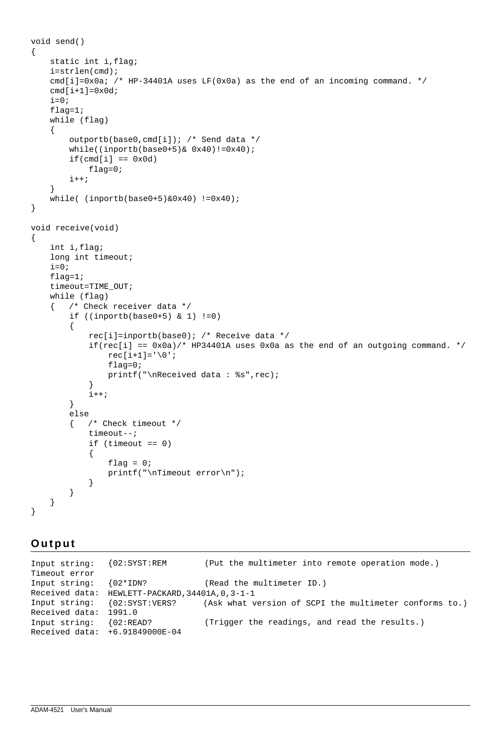```
void send() 
{ 
    static int i,flag; 
    i=strlen(cmd); 
    cmd[i]=0x0a; /* HP-34401A uses LF(0x0a) as the end of an incoming command. */
    cmd[i+1]=0x0d;i=0;flag=1; 
    while (flag)
    { 
         outportb(base0,cmd[i]); /* Send data */ 
         while((inportb(base0+5)& 0x40)!=0x40); 
         if(cmd[i] == 0x0d)flag=0; 
         i++;} 
    which is a function of the function <math>(\text{inportb}(\text{base0+5})\&0 \times 40)</math> : <math>(0 \times 40)</math>} 
void receive(void) 
{ 
    int i,flag; 
    long int timeout; 
    i=0;flag=1; 
    timeout=TIME_OUT; 
    while (flag) 
    { /* Check receiver data */ 
         if ((inportb(base0+5) & 1) !=0) 
         { 
             rec[i]=inportb(base0); /* Receive data */ 
             if(rec[i] == 0x0a)/* HP34401A uses 0x0a as the end of an outgoing command. */
                  rec[i+1]='\0';flag=0; 
                  printf("\nReceived data : %s",rec); 
              } 
             i++;
         } 
         else 
         { /* Check timeout */ 
             timeout--; 
              if (timeout == 0) 
              { 
                  flag = 0;printf("\nTimeout error\n"); 
              } 
         } 
    } 
}
```
### **O u t p u t**

Input string: Timeout error Input string: Received data: HEWLETT-PACKARD,34401A,0,3-1-1 Input string: Received data: 1991.0 Input string: {02:READ? Received data: +6.91849000E-04 {02:SYST:REM (Put the multimeter into remote operation mode.) {02\*IDN? (Read the multimeter ID.) {02:SYST:VERS? (Ask what version of SCPI the multimeter conforms to.) (Trigger the readings, and read the results.)